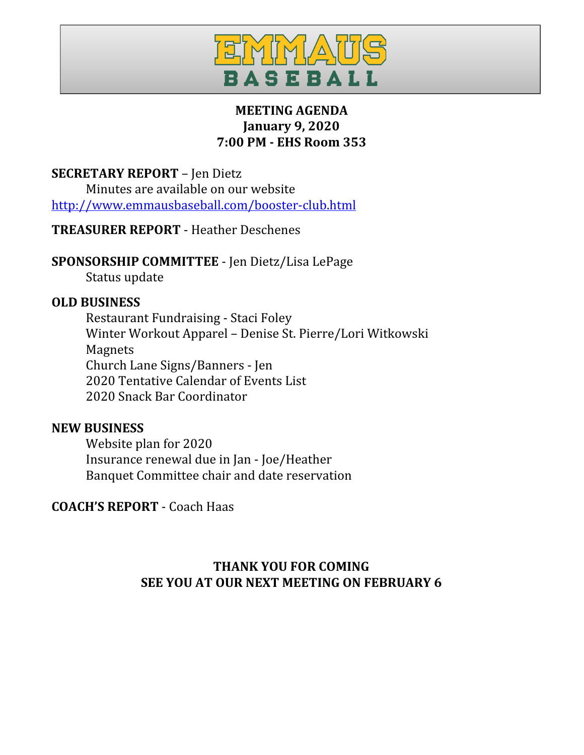

## **MEETING AGENDA January 9, 2020 7:00 PM - EHS Room 353**

#### **SECRETARY REPORT** – Jen Dietz

Minutes are available on our website <http://www.emmausbaseball.com/booster-club.html>

## **TREASURER REPORT** - Heather Deschenes

## **SPONSORSHIP COMMITTEE** - Jen Dietz/Lisa LePage

Status update

#### **OLD BUSINESS**

Restaurant Fundraising - Staci Foley Winter Workout Apparel – Denise St. Pierre/Lori Witkowski Magnets Church Lane Signs/Banners - Jen 2020 Tentative Calendar of Events List 2020 Snack Bar Coordinator

#### **NEW BUSINESS**

Website plan for 2020 Insurance renewal due in Jan - Joe/Heather Banquet Committee chair and date reservation

## **COACH'S REPORT** - Coach Haas

## **THANK YOU FOR COMING SEE YOU AT OUR NEXT MEETING ON FEBRUARY 6**